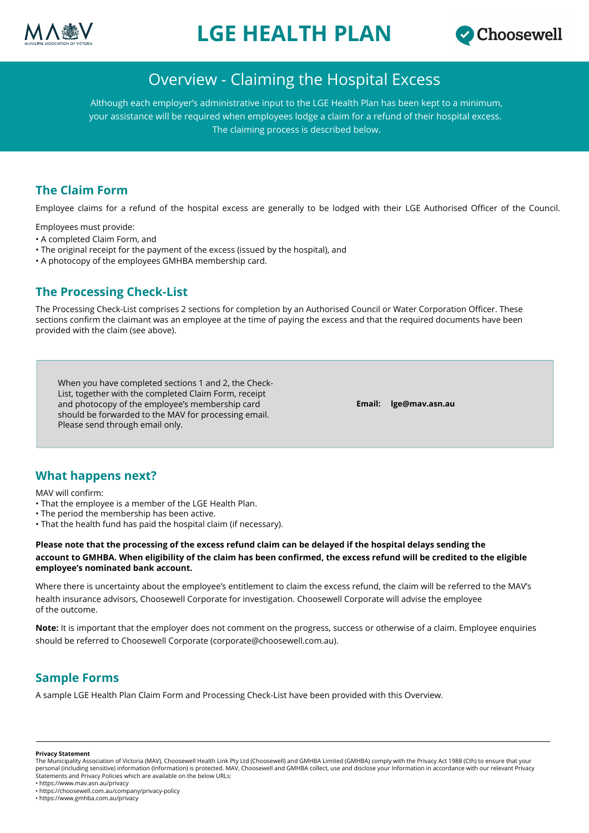

# **LGE HEALTH PLAN**



# Overview - Claiming the Hospital Excess

Although each employer's administrative input to the LGE Health Plan has been kept to a minimum, your assistance will be required when employees lodge a claim for a refund of their hospital excess. The claiming process is described below.

# **The Claim Form**

Employee claims for a refund of the hospital excess are generally to be lodged with their LGE Authorised Officer of the Council.

Employees must provide:

- A completed Claim Form, and
- The original receipt for the payment of the excess (issued by the hospital), and
- A photocopy of the employees GMHBA membership card.

### **The Processing Check-List**

The Processing Check-List comprises 2 sections for completion by an Authorised Council or Water Corporation Officer. These sections confirm the claimant was an employee at the time of paying the excess and that the required documents have been provided with the claim (see above).

When you have completed sections 1 and 2, the Check-List, together with the completed Claim Form, receipt and photocopy of the employee's membership card should be forwarded to the MAV for processing email. Please send through email only.

**Email: lge@mav.asn.au**

#### **What happens next?**

MAV will confirm:

- That the employee is a member of the LGE Health Plan.
- The period the membership has been active.
- That the health fund has paid the hospital claim (if necessary).

**Please note that the processing of the excess refund claim can be delayed if the hospital delays sending the account to GMHBA. When eligibility of the claim has been confirmed, the excess refund will be credited to the eligible employee's nominated bank account.**

Where there is uncertainty about the employee's entitlement to claim the excess refund, the claim will be referred to the MAV's health insurance advisors, Choosewell Corporate for investigation. Choosewell Corporate will advise the employee of the outcome.

**Note:** It is important that the employer does not comment on the progress, success or otherwise of a claim. Employee enquiries should be referred to Choosewell Corporate (corporate@choosewell.com.au).

### **Sample Forms**

A sample LGE Health Plan Claim Form and Processing Check-List have been provided with this Overview.

**Privacy Statement**

The Municipality Association of Victoria (MAV), Choosewell Health Link Pty Ltd (Choosewell) and GMHBA Limited (GMHBA) comply with the Privacy Act 1988 (Cth) to ensure that your personal (including sensitive) information (Information) is protected. MAV, Choosewell and GMHBA collect, use and disclose your Information in accordance with our relevant Privacy<br>Statements and Privacy Policies which are

<sup>•</sup> https://www.mav.asn.au/privacy

<sup>•</sup> https://choosewell.com.au/company/privacy-policy • https://www.gmhba.com.au/privacy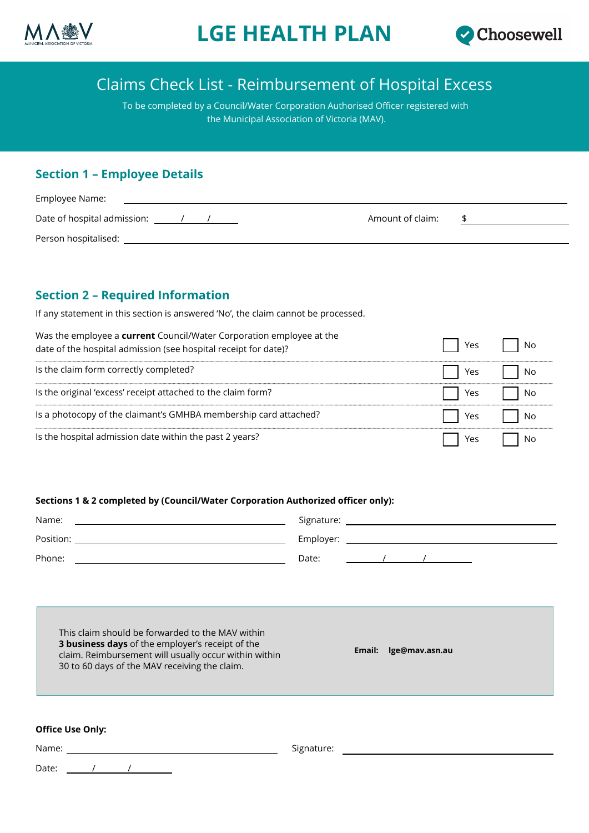



# Claims Check List - Reimbursement of Hospital Excess

To be completed by a Council/Water Corporation Authorised Officer registered with the Municipal Association of Victoria (MAV).

### **Section 1 – Employee Details**

| Employee Name:              |                  |  |
|-----------------------------|------------------|--|
| Date of hospital admission: | Amount of claim: |  |
| Person hospitalised:        |                  |  |

# **Section 2 – Required Information**

If any statement in this section is answered 'No', the claim cannot be processed.

| Was the employee a current Council/Water Corporation employee at the<br>date of the hospital admission (see hospital receipt for date)? | Yes | No |
|-----------------------------------------------------------------------------------------------------------------------------------------|-----|----|
| Is the claim form correctly completed?                                                                                                  | Yes | No |
| Is the original 'excess' receipt attached to the claim form?                                                                            | Yes | No |
| Is a photocopy of the claimant's GMHBA membership card attached?                                                                        | Yes | No |
| Is the hospital admission date within the past 2 years?                                                                                 | Yes | No |

#### **Sections 1 & 2 completed by (Council/Water Corporation Authorized officer only):**

| Name:     | Signature: |
|-----------|------------|
| Position: | Employer:  |
| Phone:    | Date:      |

This claim should be forwarded to the MAV within **3 business days** of the employer's receipt of the claim. Reimbursement will usually occur within within 30 to 60 days of the MAV receiving the claim.

**Email: lge@mav.asn.au**

#### **Office Use Only:**

|       | Office Use Only: |  |  |            |  |  |
|-------|------------------|--|--|------------|--|--|
| Name: |                  |  |  | Signature: |  |  |
| Date: |                  |  |  |            |  |  |